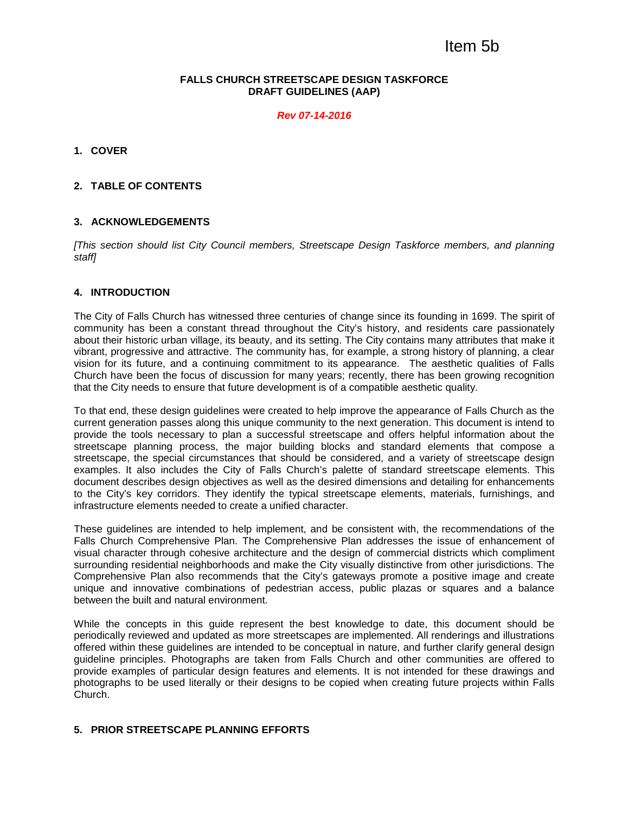# Item 5b

### **FALLS CHURCH STREETSCAPE DESIGN TASKFORCE DRAFT GUIDELINES (AAP)**

*Rev 07-14-2016*

### **1. COVER**

## **2. TABLE OF CONTENTS**

### **3. ACKNOWLEDGEMENTS**

*[This section should list City Council members, Streetscape Design Taskforce members, and planning staff]*

### **4. INTRODUCTION**

The City of Falls Church has witnessed three centuries of change since its founding in 1699. The spirit of community has been a constant thread throughout the City's history, and residents care passionately about their historic urban village, its beauty, and its setting. The City contains many attributes that make it vibrant, progressive and attractive. The community has, for example, a strong history of planning, a clear vision for its future, and a continuing commitment to its appearance. The aesthetic qualities of Falls Church have been the focus of discussion for many years; recently, there has been growing recognition that the City needs to ensure that future development is of a compatible aesthetic quality.

To that end, these design guidelines were created to help improve the appearance of Falls Church as the current generation passes along this unique community to the next generation. This document is intend to provide the tools necessary to plan a successful streetscape and offers helpful information about the streetscape planning process, the major building blocks and standard elements that compose a streetscape, the special circumstances that should be considered, and a variety of streetscape design examples. It also includes the City of Falls Church's palette of standard streetscape elements. This document describes design objectives as well as the desired dimensions and detailing for enhancements to the City's key corridors. They identify the typical streetscape elements, materials, furnishings, and infrastructure elements needed to create a unified character.

These guidelines are intended to help implement, and be consistent with, the recommendations of the Falls Church Comprehensive Plan. The Comprehensive Plan addresses the issue of enhancement of visual character through cohesive architecture and the design of commercial districts which compliment surrounding residential neighborhoods and make the City visually distinctive from other jurisdictions. The Comprehensive Plan also recommends that the City's gateways promote a positive image and create unique and innovative combinations of pedestrian access, public plazas or squares and a balance between the built and natural environment.

While the concepts in this guide represent the best knowledge to date, this document should be periodically reviewed and updated as more streetscapes are implemented. All renderings and illustrations offered within these guidelines are intended to be conceptual in nature, and further clarify general design guideline principles. Photographs are taken from Falls Church and other communities are offered to provide examples of particular design features and elements. It is not intended for these drawings and photographs to be used literally or their designs to be copied when creating future projects within Falls Church.

### **5. PRIOR STREETSCAPE PLANNING EFFORTS**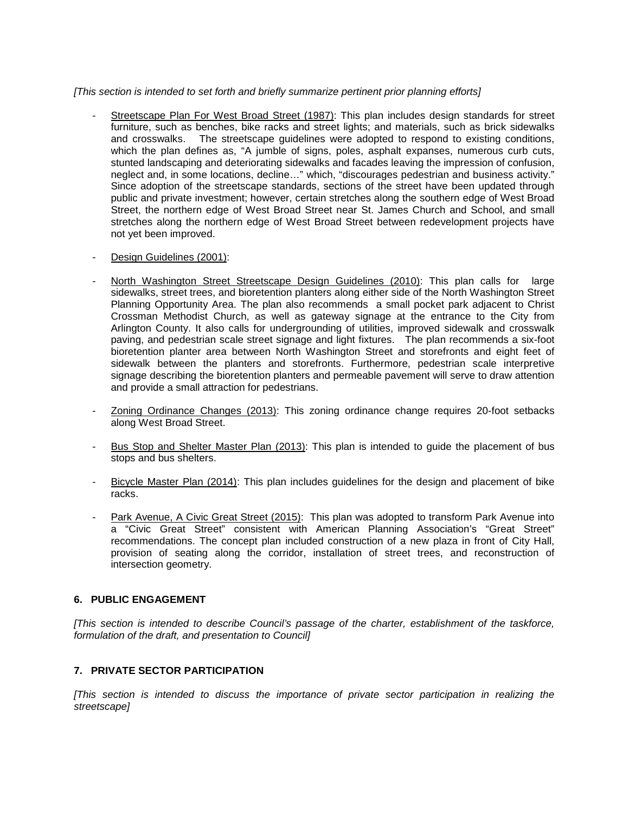### *[This section is intended to set forth and briefly summarize pertinent prior planning efforts]*

- Streetscape Plan For West Broad Street (1987): This plan includes design standards for street furniture, such as benches, bike racks and street lights; and materials, such as brick sidewalks and crosswalks. The streetscape guidelines were adopted to respond to existing conditions, which the plan defines as, "A jumble of signs, poles, asphalt expanses, numerous curb cuts, stunted landscaping and deteriorating sidewalks and facades leaving the impression of confusion, neglect and, in some locations, decline…" which, "discourages pedestrian and business activity." Since adoption of the streetscape standards, sections of the street have been updated through public and private investment; however, certain stretches along the southern edge of West Broad Street, the northern edge of West Broad Street near St. James Church and School, and small stretches along the northern edge of West Broad Street between redevelopment projects have not yet been improved.
- Design Guidelines (2001):
- North Washington Street Streetscape Design Guidelines (2010): This plan calls for large sidewalks, street trees, and bioretention planters along either side of the North Washington Street Planning Opportunity Area. The plan also recommends a small pocket park adjacent to Christ Crossman Methodist Church, as well as gateway signage at the entrance to the City from Arlington County. It also calls for undergrounding of utilities, improved sidewalk and crosswalk paving, and pedestrian scale street signage and light fixtures. The plan recommends a six-foot bioretention planter area between North Washington Street and storefronts and eight feet of sidewalk between the planters and storefronts. Furthermore, pedestrian scale interpretive signage describing the bioretention planters and permeable pavement will serve to draw attention and provide a small attraction for pedestrians.
- Zoning Ordinance Changes (2013): This zoning ordinance change requires 20-foot setbacks along West Broad Street.
- Bus Stop and Shelter Master Plan (2013): This plan is intended to guide the placement of bus stops and bus shelters.
- Bicycle Master Plan (2014): This plan includes guidelines for the design and placement of bike racks.
- Park Avenue, A Civic Great Street (2015): This plan was adopted to transform Park Avenue into a "Civic Great Street" consistent with American Planning Association's "Great Street" recommendations. The concept plan included construction of a new plaza in front of City Hall, provision of seating along the corridor, installation of street trees, and reconstruction of intersection geometry.

# **6. PUBLIC ENGAGEMENT**

*[This section is intended to describe Council's passage of the charter, establishment of the taskforce, formulation of the draft, and presentation to Council]*

# **7. PRIVATE SECTOR PARTICIPATION**

*[This section is intended to discuss the importance of private sector participation in realizing the streetscape]*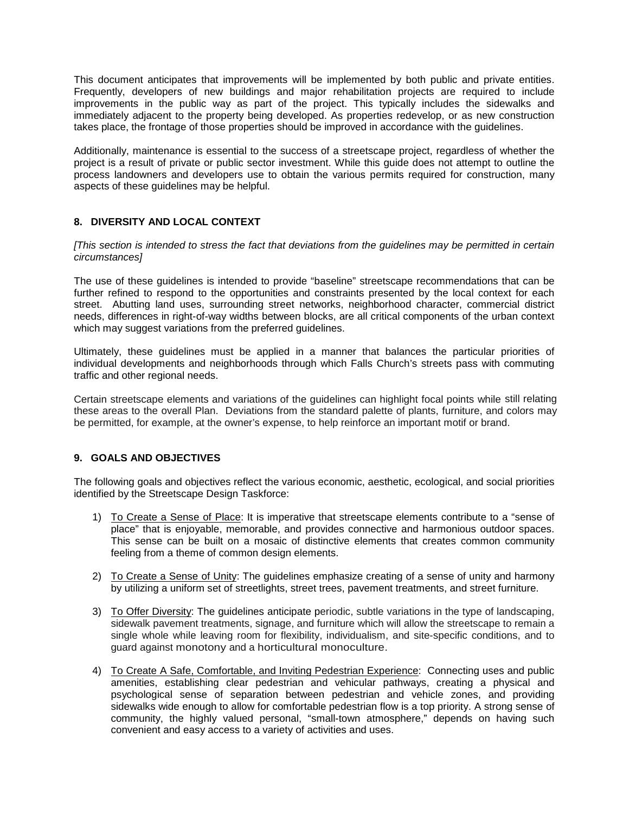This document anticipates that improvements will be implemented by both public and private entities. Frequently, developers of new buildings and major rehabilitation projects are required to include improvements in the public way as part of the project. This typically includes the sidewalks and immediately adjacent to the property being developed. As properties redevelop, or as new construction takes place, the frontage of those properties should be improved in accordance with the guidelines.

Additionally, maintenance is essential to the success of a streetscape project, regardless of whether the project is a result of private or public sector investment. While this guide does not attempt to outline the process landowners and developers use to obtain the various permits required for construction, many aspects of these guidelines may be helpful.

# **8. DIVERSITY AND LOCAL CONTEXT**

*[This section is intended to stress the fact that deviations from the guidelines may be permitted in certain circumstances]*

The use of these guidelines is intended to provide "baseline" streetscape recommendations that can be further refined to respond to the opportunities and constraints presented by the local context for each street. Abutting land uses, surrounding street networks, neighborhood character, commercial district needs, differences in right-of-way widths between blocks, are all critical components of the urban context which may suggest variations from the preferred guidelines.

Ultimately, these guidelines must be applied in a manner that balances the particular priorities of individual developments and neighborhoods through which Falls Church's streets pass with commuting traffic and other regional needs.

Certain streetscape elements and variations of the guidelines can highlight focal points while still relating these areas to the overall Plan. Deviations from the standard palette of plants, furniture, and colors may be permitted, for example, at the owner's expense, to help reinforce an important motif or brand.

# **9. GOALS AND OBJECTIVES**

The following goals and objectives reflect the various economic, aesthetic, ecological, and social priorities identified by the Streetscape Design Taskforce:

- 1) To Create a Sense of Place: It is imperative that streetscape elements contribute to a "sense of place" that is enjoyable, memorable, and provides connective and harmonious outdoor spaces. This sense can be built on a mosaic of distinctive elements that creates common community feeling from a theme of common design elements.
- 2) To Create a Sense of Unity: The guidelines emphasize creating of a sense of unity and harmony by utilizing a uniform set of streetlights, street trees, pavement treatments, and street furniture.
- 3) To Offer Diversity: The guidelines anticipate periodic, subtle variations in the type of landscaping, sidewalk pavement treatments, signage, and furniture which will allow the streetscape to remain a single whole while leaving room for flexibility, individualism, and site-specific conditions, and to guard against monotony and a horticultural monoculture.
- 4) To Create A Safe, Comfortable, and Inviting Pedestrian Experience: Connecting uses and public amenities, establishing clear pedestrian and vehicular pathways, creating a physical and psychological sense of separation between pedestrian and vehicle zones, and providing sidewalks wide enough to allow for comfortable pedestrian flow is a top priority. A strong sense of community, the highly valued personal, "small-town atmosphere," depends on having such convenient and easy access to a variety of activities and uses.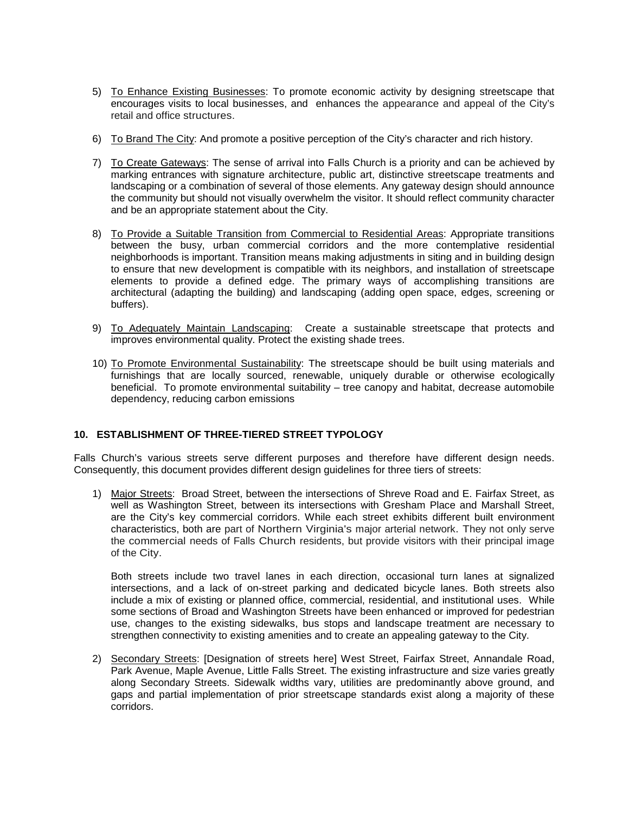- 5) To Enhance Existing Businesses: To promote economic activity by designing streetscape that encourages visits to local businesses, and enhances the appearance and appeal of the City's retail and office structures.
- 6) To Brand The City: And promote a positive perception of the City's character and rich history.
- 7) To Create Gateways: The sense of arrival into Falls Church is a priority and can be achieved by marking entrances with signature architecture, public art, distinctive streetscape treatments and landscaping or a combination of several of those elements. Any gateway design should announce the community but should not visually overwhelm the visitor. It should reflect community character and be an appropriate statement about the City.
- 8) To Provide a Suitable Transition from Commercial to Residential Areas: Appropriate transitions between the busy, urban commercial corridors and the more contemplative residential neighborhoods is important. Transition means making adjustments in siting and in building design to ensure that new development is compatible with its neighbors, and installation of streetscape elements to provide a defined edge. The primary ways of accomplishing transitions are architectural (adapting the building) and landscaping (adding open space, edges, screening or buffers).
- 9) To Adequately Maintain Landscaping: Create a sustainable streetscape that protects and improves environmental quality. Protect the existing shade trees.
- 10) To Promote Environmental Sustainability: The streetscape should be built using materials and furnishings that are locally sourced, renewable, uniquely durable or otherwise ecologically beneficial. To promote environmental suitability – tree canopy and habitat, decrease automobile dependency, reducing carbon emissions

### **10. ESTABLISHMENT OF THREE-TIERED STREET TYPOLOGY**

Falls Church's various streets serve different purposes and therefore have different design needs. Consequently, this document provides different design guidelines for three tiers of streets:

1) Major Streets: Broad Street, between the intersections of Shreve Road and E. Fairfax Street, as well as Washington Street, between its intersections with Gresham Place and Marshall Street, are the City's key commercial corridors. While each street exhibits different built environment characteristics, both are part of Northern Virginia's major arterial network. They not only serve the commercial needs of Falls Church residents, but provide visitors with their principal image of the City.

Both streets include two travel lanes in each direction, occasional turn lanes at signalized intersections, and a lack of on-street parking and dedicated bicycle lanes. Both streets also include a mix of existing or planned office, commercial, residential, and institutional uses. While some sections of Broad and Washington Streets have been enhanced or improved for pedestrian use, changes to the existing sidewalks, bus stops and landscape treatment are necessary to strengthen connectivity to existing amenities and to create an appealing gateway to the City.

2) Secondary Streets: [Designation of streets here] West Street, Fairfax Street, Annandale Road, Park Avenue, Maple Avenue, Little Falls Street. The existing infrastructure and size varies greatly along Secondary Streets. Sidewalk widths vary, utilities are predominantly above ground, and gaps and partial implementation of prior streetscape standards exist along a majority of these corridors.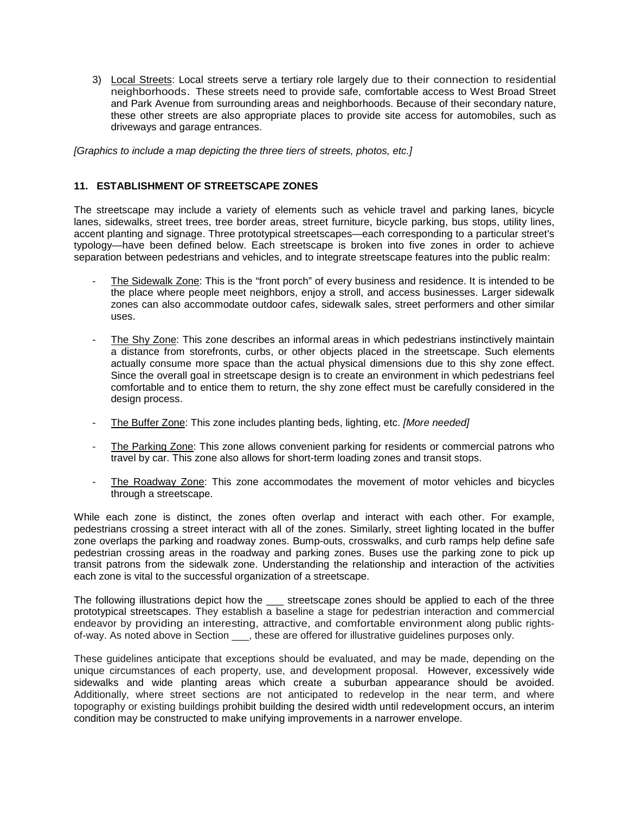3) Local Streets: Local streets serve a tertiary role largely due to their connection to residential neighborhoods. These streets need to provide safe, comfortable access to West Broad Street and Park Avenue from surrounding areas and neighborhoods. Because of their secondary nature, these other streets are also appropriate places to provide site access for automobiles, such as driveways and garage entrances.

*[Graphics to include a map depicting the three tiers of streets, photos, etc.]*

# **11. ESTABLISHMENT OF STREETSCAPE ZONES**

The streetscape may include a variety of elements such as vehicle travel and parking lanes, bicycle lanes, sidewalks, street trees, tree border areas, street furniture, bicycle parking, bus stops, utility lines, accent planting and signage. Three prototypical streetscapes—each corresponding to a particular street's typology—have been defined below. Each streetscape is broken into five zones in order to achieve separation between pedestrians and vehicles, and to integrate streetscape features into the public realm:

- The Sidewalk Zone: This is the "front porch" of every business and residence. It is intended to be the place where people meet neighbors, enjoy a stroll, and access businesses. Larger sidewalk zones can also accommodate outdoor cafes, sidewalk sales, street performers and other similar uses.
- The Shy Zone: This zone describes an informal areas in which pedestrians instinctively maintain a distance from storefronts, curbs, or other objects placed in the streetscape. Such elements actually consume more space than the actual physical dimensions due to this shy zone effect. Since the overall goal in streetscape design is to create an environment in which pedestrians feel comfortable and to entice them to return, the shy zone effect must be carefully considered in the design process.
- The Buffer Zone: This zone includes planting beds, lighting, etc. *[More needed]*
- The Parking Zone: This zone allows convenient parking for residents or commercial patrons who travel by car. This zone also allows for short-term loading zones and transit stops.
- The Roadway Zone: This zone accommodates the movement of motor vehicles and bicycles through a streetscape.

While each zone is distinct, the zones often overlap and interact with each other. For example, pedestrians crossing a street interact with all of the zones. Similarly, street lighting located in the buffer zone overlaps the parking and roadway zones. Bump-outs, crosswalks, and curb ramps help define safe pedestrian crossing areas in the roadway and parking zones. Buses use the parking zone to pick up transit patrons from the sidewalk zone. Understanding the relationship and interaction of the activities each zone is vital to the successful organization of a streetscape.

The following illustrations depict how the streetscape zones should be applied to each of the three prototypical streetscapes. They establish a baseline a stage for pedestrian interaction and commercial endeavor by providing an interesting, attractive, and comfortable environment along public rightsof-way. As noted above in Section \_\_\_, these are offered for illustrative guidelines purposes only.

These guidelines anticipate that exceptions should be evaluated, and may be made, depending on the unique circumstances of each property, use, and development proposal. However, excessively wide sidewalks and wide planting areas which create a suburban appearance should be avoided. Additionally, where street sections are not anticipated to redevelop in the near term, and where topography or existing buildings prohibit building the desired width until redevelopment occurs, an interim condition may be constructed to make unifying improvements in a narrower envelope.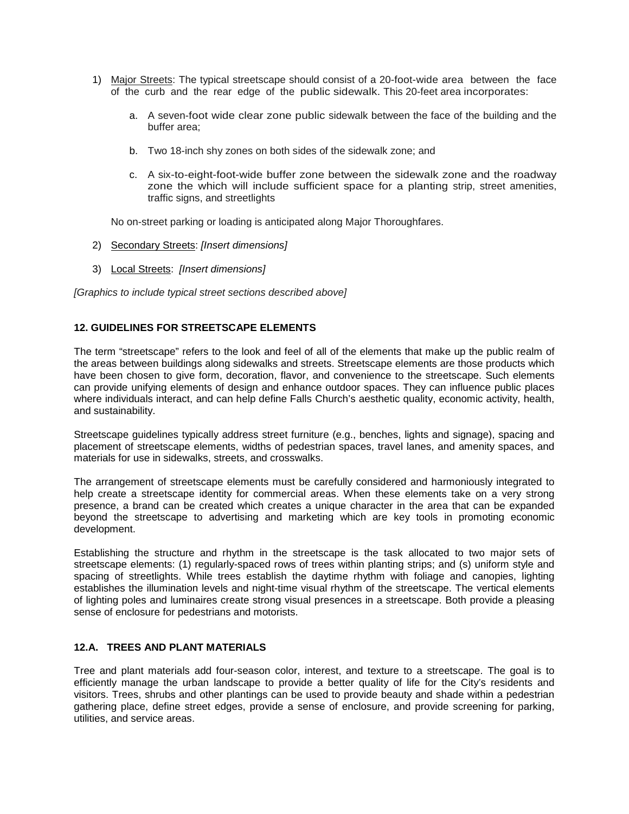- 1) Major Streets: The typical streetscape should consist of a 20-foot-wide area between the face of the curb and the rear edge of the public sidewalk. This 20-feet area incorporates:
	- a. A seven-foot wide clear zone public sidewalk between the face of the building and the buffer area;
	- b. Two 18-inch shy zones on both sides of the sidewalk zone; and
	- c. A six-to-eight-foot-wide buffer zone between the sidewalk zone and the roadway zone the which will include sufficient space for a planting strip, street amenities, traffic signs, and streetlights

No on-street parking or loading is anticipated along Major Thoroughfares.

- 2) Secondary Streets: *[Insert dimensions]*
- 3) Local Streets: *[Insert dimensions]*

*[Graphics to include typical street sections described above]*

# **12. GUIDELINES FOR STREETSCAPE ELEMENTS**

The term "streetscape" refers to the look and feel of all of the elements that make up the public realm of the areas between buildings along sidewalks and streets. Streetscape elements are those products which have been chosen to give form, decoration, flavor, and convenience to the streetscape. Such elements can provide unifying elements of design and enhance outdoor spaces. They can influence public places where individuals interact, and can help define Falls Church's aesthetic quality, economic activity, health, and sustainability.

Streetscape guidelines typically address street furniture (e.g., benches, lights and signage), spacing and placement of streetscape elements, widths of pedestrian spaces, travel lanes, and amenity spaces, and materials for use in sidewalks, streets, and crosswalks.

The arrangement of streetscape elements must be carefully considered and harmoniously integrated to help create a streetscape identity for commercial areas. When these elements take on a very strong presence, a brand can be created which creates a unique character in the area that can be expanded beyond the streetscape to advertising and marketing which are key tools in promoting economic development.

Establishing the structure and rhythm in the streetscape is the task allocated to two major sets of streetscape elements: (1) regularly-spaced rows of trees within planting strips; and (s) uniform style and spacing of streetlights. While trees establish the daytime rhythm with foliage and canopies, lighting establishes the illumination levels and night-time visual rhythm of the streetscape. The vertical elements of lighting poles and luminaires create strong visual presences in a streetscape. Both provide a pleasing sense of enclosure for pedestrians and motorists.

# **12.A. TREES AND PLANT MATERIALS**

Tree and plant materials add four-season color, interest, and texture to a streetscape. The goal is to efficiently manage the urban landscape to provide a better quality of life for the City's residents and visitors. Trees, shrubs and other plantings can be used to provide beauty and shade within a pedestrian gathering place, define street edges, provide a sense of enclosure, and provide screening for parking, utilities, and service areas.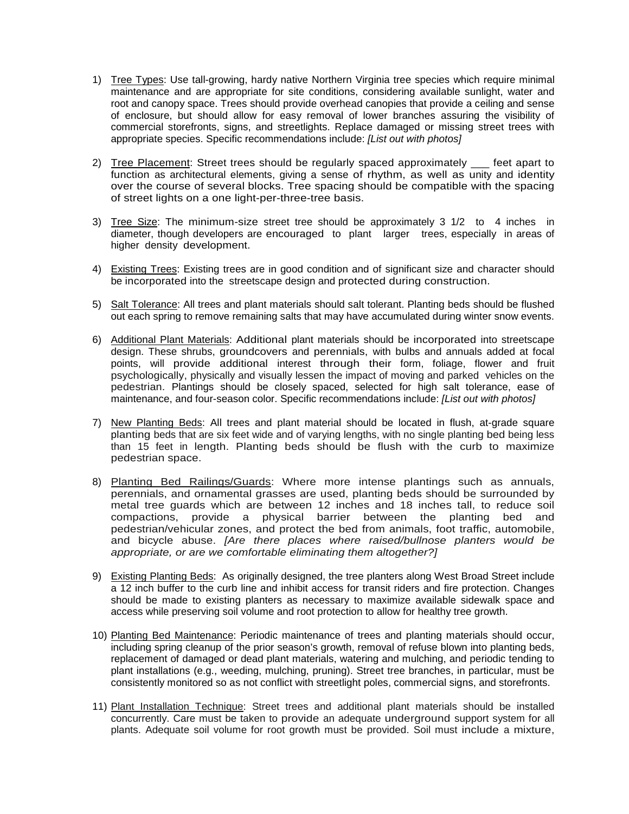- 1) Tree Types: Use tall-growing, hardy native Northern Virginia tree species which require minimal maintenance and are appropriate for site conditions, considering available sunlight, water and root and canopy space. Trees should provide overhead canopies that provide a ceiling and sense of enclosure, but should allow for easy removal of lower branches assuring the visibility of commercial storefronts, signs, and streetlights. Replace damaged or missing street trees with appropriate species. Specific recommendations include: *[List out with photos]*
- 2) Tree Placement: Street trees should be regularly spaced approximately \_\_\_ feet apart to function as architectural elements, giving a sense of rhythm, as well as unity and identity over the course of several blocks. Tree spacing should be compatible with the spacing of street lights on a one light-per-three-tree basis.
- 3) Tree Size: The minimum-size street tree should be approximately 3 1/2 to 4 inches in diameter, though developers are encouraged to plant larger trees, especially in areas of higher density development.
- 4) Existing Trees: Existing trees are in good condition and of significant size and character should be incorporated into the streetscape design and protected during construction.
- 5) Salt Tolerance: All trees and plant materials should salt tolerant. Planting beds should be flushed out each spring to remove remaining salts that may have accumulated during winter snow events.
- 6) Additional Plant Materials: Additional plant materials should be incorporated into streetscape design. These shrubs, groundcovers and perennials, with bulbs and annuals added at focal points, will provide additional interest through their form, foliage, flower and fruit psychologically, physically and visually lessen the impact of moving and parked vehicles on the pedestrian. Plantings should be closely spaced, selected for high salt tolerance, ease of maintenance, and four-season color. Specific recommendations include: *[List out with photos]*
- 7) New Planting Beds: All trees and plant material should be located in flush, at-grade square planting beds that are six feet wide and of varying lengths, with no single planting bed being less than 15 feet in length. Planting beds should be flush with the curb to maximize pedestrian space.
- 8) Planting Bed Railings/Guards: Where more intense plantings such as annuals, perennials, and ornamental grasses are used, planting beds should be surrounded by metal tree guards which are between 12 inches and 18 inches tall, to reduce soil compactions, provide a physical barrier between the planting bed and pedestrian/vehicular zones, and protect the bed from animals, foot traffic, automobile, and bicycle abuse. *[Are there places where raised/bullnose planters would be appropriate, or are we comfortable eliminating them altogether?]*
- 9) Existing Planting Beds: As originally designed, the tree planters along West Broad Street include a 12 inch buffer to the curb line and inhibit access for transit riders and fire protection. Changes should be made to existing planters as necessary to maximize available sidewalk space and access while preserving soil volume and root protection to allow for healthy tree growth.
- 10) Planting Bed Maintenance: Periodic maintenance of trees and planting materials should occur, including spring cleanup of the prior season's growth, removal of refuse blown into planting beds, replacement of damaged or dead plant materials, watering and mulching, and periodic tending to plant installations (e.g., weeding, mulching, pruning). Street tree branches, in particular, must be consistently monitored so as not conflict with streetlight poles, commercial signs, and storefronts.
- 11) Plant Installation Technique: Street trees and additional plant materials should be installed concurrently. Care must be taken to provide an adequate underground support system for all plants. Adequate soil volume for root growth must be provided. Soil must include a mixture,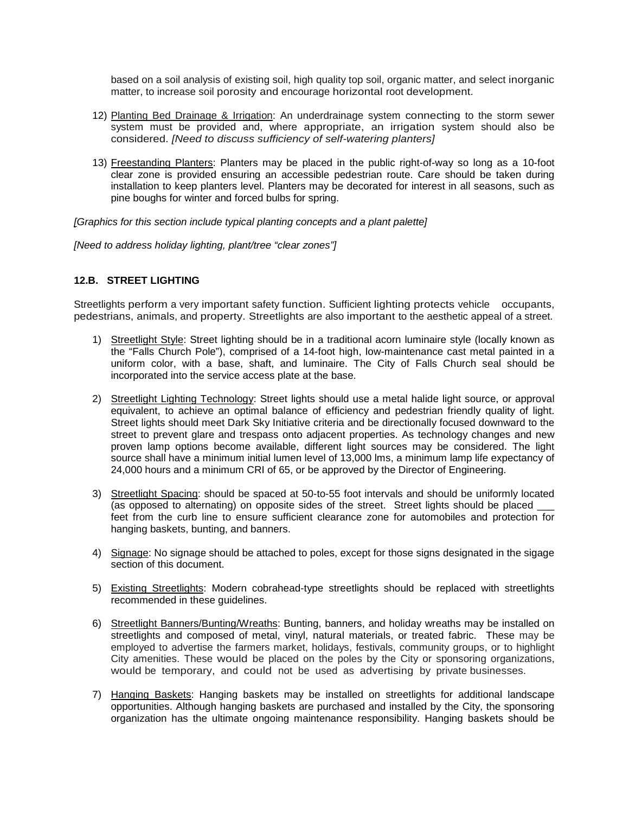based on a soil analysis of existing soil, high quality top soil, organic matter, and select inorganic matter, to increase soil porosity and encourage horizontal root development.

- 12) Planting Bed Drainage & Irrigation: An underdrainage system connecting to the storm sewer system must be provided and, where appropriate, an irrigation system should also be considered. *[Need to discuss sufficiency of self-watering planters]*
- 13) Freestanding Planters: Planters may be placed in the public right-of-way so long as a 10-foot clear zone is provided ensuring an accessible pedestrian route. Care should be taken during installation to keep planters level. Planters may be decorated for interest in all seasons, such as pine boughs for winter and forced bulbs for spring.

*[Graphics for this section include typical planting concepts and a plant palette]*

*[Need to address holiday lighting, plant/tree "clear zones"]*

# **12.B. STREET LIGHTING**

Streetlights perform a very important safety function. Sufficient lighting protects vehicle occupants, pedestrians, animals, and property. Streetlights are also important to the aesthetic appeal of a street.

- 1) Streetlight Style: Street lighting should be in a traditional acorn luminaire style (locally known as the "Falls Church Pole"), comprised of a 14-foot high, low-maintenance cast metal painted in a uniform color, with a base, shaft, and luminaire. The City of Falls Church seal should be incorporated into the service access plate at the base.
- 2) Streetlight Lighting Technology: Street lights should use a metal halide light source, or approval equivalent, to achieve an optimal balance of efficiency and pedestrian friendly quality of light. Street lights should meet Dark Sky Initiative criteria and be directionally focused downward to the street to prevent glare and trespass onto adjacent properties. As technology changes and new proven lamp options become available, different light sources may be considered. The light source shall have a minimum initial lumen level of 13,000 lms, a minimum lamp life expectancy of 24,000 hours and a minimum CRI of 65, or be approved by the Director of Engineering.
- 3) Streetlight Spacing: should be spaced at 50-to-55 foot intervals and should be uniformly located (as opposed to alternating) on opposite sides of the street. Street lights should be placed \_\_\_ feet from the curb line to ensure sufficient clearance zone for automobiles and protection for hanging baskets, bunting, and banners.
- 4) Signage: No signage should be attached to poles, except for those signs designated in the sigage section of this document.
- 5) Existing Streetlights: Modern cobrahead-type streetlights should be replaced with streetlights recommended in these guidelines.
- 6) Streetlight Banners/Bunting/Wreaths: Bunting, banners, and holiday wreaths may be installed on streetlights and composed of metal, vinyl, natural materials, or treated fabric. These may be employed to advertise the farmers market, holidays, festivals, community groups, or to highlight City amenities. These would be placed on the poles by the City or sponsoring organizations, would be temporary, and could not be used as advertising by private businesses.
- 7) Hanging Baskets: Hanging baskets may be installed on streetlights for additional landscape opportunities. Although hanging baskets are purchased and installed by the City, the sponsoring organization has the ultimate ongoing maintenance responsibility. Hanging baskets should be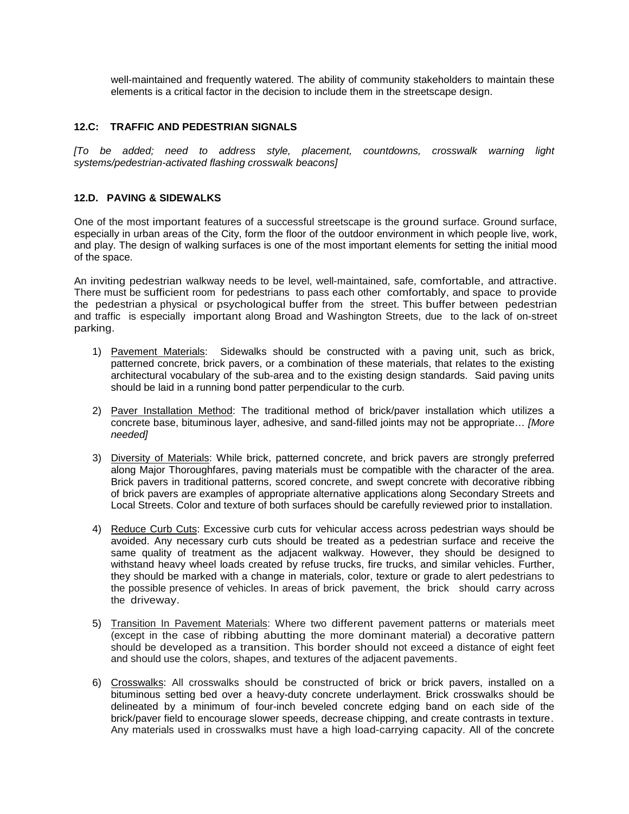well-maintained and frequently watered. The ability of community stakeholders to maintain these elements is a critical factor in the decision to include them in the streetscape design.

# **12.C: TRAFFIC AND PEDESTRIAN SIGNALS**

*[To be added; need to address style, placement, countdowns, crosswalk warning light systems/pedestrian-activated flashing crosswalk beacons]*

# **12.D. PAVING & SIDEWALKS**

One of the most important features of a successful streetscape is the ground surface. Ground surface, especially in urban areas of the City, form the floor of the outdoor environment in which people live, work, and play. The design of walking surfaces is one of the most important elements for setting the initial mood of the space.

An inviting pedestrian walkway needs to be level, well-maintained, safe, comfortable, and attractive. There must be sufficient room for pedestrians to pass each other comfortably, and space to provide the pedestrian a physical or psychological buffer from the street. This buffer between pedestrian and traffic is especially important along Broad and Washington Streets, due to the lack of on-street parking.

- 1) Pavement Materials: Sidewalks should be constructed with a paving unit, such as brick, patterned concrete, brick pavers, or a combination of these materials, that relates to the existing architectural vocabulary of the sub-area and to the existing design standards. Said paving units should be laid in a running bond patter perpendicular to the curb.
- 2) Paver Installation Method: The traditional method of brick/paver installation which utilizes a concrete base, bituminous layer, adhesive, and sand-filled joints may not be appropriate… *[More needed]*
- 3) Diversity of Materials: While brick, patterned concrete, and brick pavers are strongly preferred along Major Thoroughfares, paving materials must be compatible with the character of the area. Brick pavers in traditional patterns, scored concrete, and swept concrete with decorative ribbing of brick pavers are examples of appropriate alternative applications along Secondary Streets and Local Streets. Color and texture of both surfaces should be carefully reviewed prior to installation.
- 4) Reduce Curb Cuts: Excessive curb cuts for vehicular access across pedestrian ways should be avoided. Any necessary curb cuts should be treated as a pedestrian surface and receive the same quality of treatment as the adjacent walkway. However, they should be designed to withstand heavy wheel loads created by refuse trucks, fire trucks, and similar vehicles. Further, they should be marked with a change in materials, color, texture or grade to alert pedestrians to the possible presence of vehicles. In areas of brick pavement, the brick should carry across the driveway.
- 5) Transition In Pavement Materials: Where two different pavement patterns or materials meet (except in the case of ribbing abutting the more dominant material) a decorative pattern should be developed as a transition. This border should not exceed a distance of eight feet and should use the colors, shapes, and textures of the adjacent pavements.
- 6) Crosswalks: All crosswalks should be constructed of brick or brick pavers, installed on a bituminous setting bed over a heavy-duty concrete underlayment. Brick crosswalks should be delineated by a minimum of four-inch beveled concrete edging band on each side of the brick/paver field to encourage slower speeds, decrease chipping, and create contrasts in texture. Any materials used in crosswalks must have a high load-carrying capacity. All of the concrete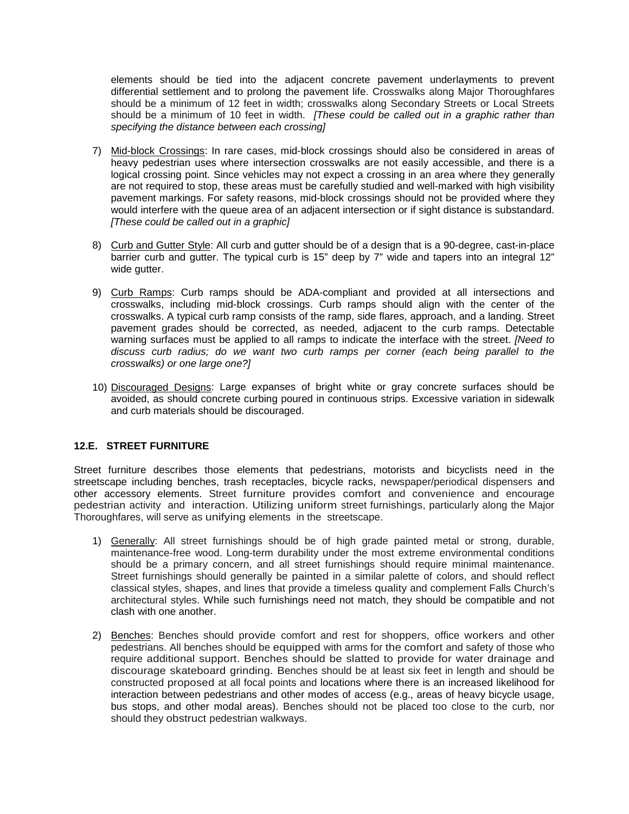elements should be tied into the adjacent concrete pavement underlayments to prevent differential settlement and to prolong the pavement life. Crosswalks along Major Thoroughfares should be a minimum of 12 feet in width; crosswalks along Secondary Streets or Local Streets should be a minimum of 10 feet in width. *[These could be called out in a graphic rather than specifying the distance between each crossing]*

- 7) Mid-block Crossings: In rare cases, mid-block crossings should also be considered in areas of heavy pedestrian uses where intersection crosswalks are not easily accessible, and there is a logical crossing point. Since vehicles may not expect a crossing in an area where they generally are not required to stop, these areas must be carefully studied and well-marked with high visibility pavement markings. For safety reasons, mid-block crossings should not be provided where they would interfere with the queue area of an adjacent intersection or if sight distance is substandard. *[These could be called out in a graphic]*
- 8) Curb and Gutter Style: All curb and gutter should be of a design that is a 90-degree, cast-in-place barrier curb and gutter. The typical curb is 15" deep by 7" wide and tapers into an integral 12" wide gutter.
- 9) Curb Ramps: Curb ramps should be ADA-compliant and provided at all intersections and crosswalks, including mid-block crossings. Curb ramps should align with the center of the crosswalks. A typical curb ramp consists of the ramp, side flares, approach, and a landing. Street pavement grades should be corrected, as needed, adjacent to the curb ramps. Detectable warning surfaces must be applied to all ramps to indicate the interface with the street. *[Need to discuss curb radius; do we want two curb ramps per corner (each being parallel to the crosswalks) or one large one?]*
- 10) Discouraged Designs: Large expanses of bright white or gray concrete surfaces should be avoided, as should concrete curbing poured in continuous strips. Excessive variation in sidewalk and curb materials should be discouraged.

### **12.E. STREET FURNITURE**

Street furniture describes those elements that pedestrians, motorists and bicyclists need in the streetscape including benches, trash receptacles, bicycle racks, newspaper/periodical dispensers and other accessory elements. Street furniture provides comfort and convenience and encourage pedestrian activity and interaction. Utilizing uniform street furnishings, particularly along the Major Thoroughfares, will serve as unifying elements in the streetscape.

- 1) Generally: All street furnishings should be of high grade painted metal or strong, durable, maintenance-free wood. Long-term durability under the most extreme environmental conditions should be a primary concern, and all street furnishings should require minimal maintenance. Street furnishings should generally be painted in a similar palette of colors, and should reflect classical styles, shapes, and lines that provide a timeless quality and complement Falls Church's architectural styles. While such furnishings need not match, they should be compatible and not clash with one another.
- 2) Benches: Benches should provide comfort and rest for shoppers, office workers and other pedestrians. All benches should be equipped with arms for the comfort and safety of those who require additional support. Benches should be slatted to provide for water drainage and discourage skateboard grinding. Benches should be at least six feet in length and should be constructed proposed at all focal points and locations where there is an increased likelihood for interaction between pedestrians and other modes of access (e.g., areas of heavy bicycle usage, bus stops, and other modal areas). Benches should not be placed too close to the curb, nor should they obstruct pedestrian walkways.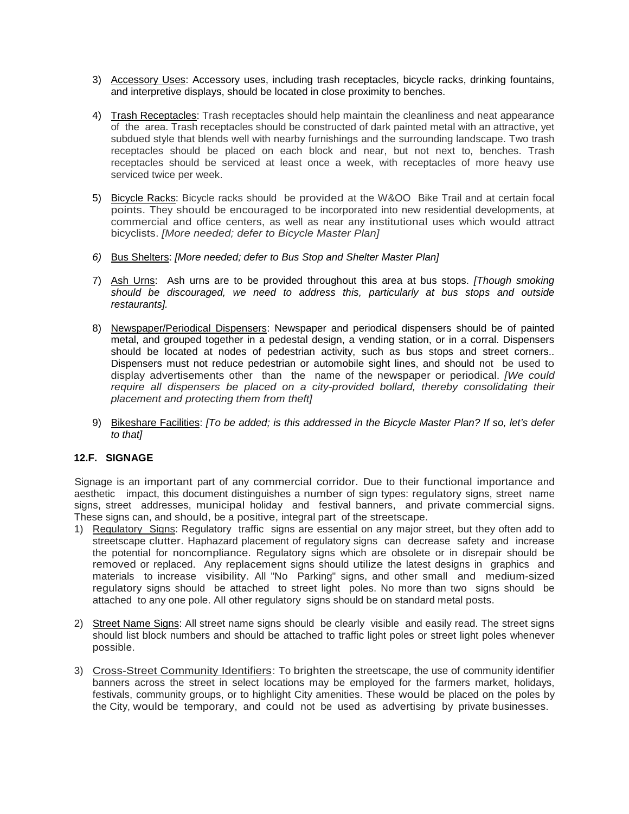- 3) Accessory Uses: Accessory uses, including trash receptacles, bicycle racks, drinking fountains, and interpretive displays, should be located in close proximity to benches.
- 4) Trash Receptacles: Trash receptacles should help maintain the cleanliness and neat appearance of the area. Trash receptacles should be constructed of dark painted metal with an attractive, yet subdued style that blends well with nearby furnishings and the surrounding landscape. Two trash receptacles should be placed on each block and near, but not next to, benches. Trash receptacles should be serviced at least once a week, with receptacles of more heavy use serviced twice per week.
- 5) Bicycle Racks: Bicycle racks should be provided at the W&OO Bike Trail and at certain focal points. They should be encouraged to be incorporated into new residential developments, at commercial and office centers, as well as near any institutional uses which would attract bicyclists. *[More needed; defer to Bicycle Master Plan]*
- *6)* Bus Shelters: *[More needed; defer to Bus Stop and Shelter Master Plan]*
- 7) Ash Urns: Ash urns are to be provided throughout this area at bus stops. *[Though smoking should be discouraged, we need to address this, particularly at bus stops and outside restaurants].*
- 8) Newspaper/Periodical Dispensers: Newspaper and periodical dispensers should be of painted metal, and grouped together in a pedestal design, a vending station, or in a corral. Dispensers should be located at nodes of pedestrian activity, such as bus stops and street corners.. Dispensers must not reduce pedestrian or automobile sight lines, and should not be used to display advertisements other than the name of the newspaper or periodical. *[We could*  require all dispensers be placed on a city-provided bollard, thereby consolidating their *placement and protecting them from theft]*
- 9) Bikeshare Facilities: *[To be added; is this addressed in the Bicycle Master Plan? If so, let's defer to that]*

# **12.F. SIGNAGE**

Signage is an important part of any commercial corridor. Due to their functional importance and aesthetic impact, this document distinguishes a number of sign types: regulatory signs, street name signs, street addresses, municipal holiday and festival banners, and private commercial signs. These signs can, and should, be a positive, integral part of the streetscape.

- 1) Regulatory Signs: Regulatory traffic signs are essential on any major street, but they often add to streetscape clutter. Haphazard placement of regulatory signs can decrease safety and increase the potential for noncompliance. Regulatory signs which are obsolete or in disrepair should be removed or replaced. Any replacement signs should utilize the latest designs in graphics and materials to increase visibility. All "No Parking" signs, and other small and medium-sized regulatory signs should be attached to street light poles. No more than two signs should be attached to any one pole. All other regulatory signs should be on standard metal posts.
- 2) Street Name Signs: All street name signs should be clearly visible and easily read. The street signs should list block numbers and should be attached to traffic light poles or street light poles whenever possible.
- 3) Cross-Street Community Identifiers: To brighten the streetscape, the use of community identifier banners across the street in select locations may be employed for the farmers market, holidays, festivals, community groups, or to highlight City amenities. These would be placed on the poles by the City, would be temporary, and could not be used as advertising by private businesses.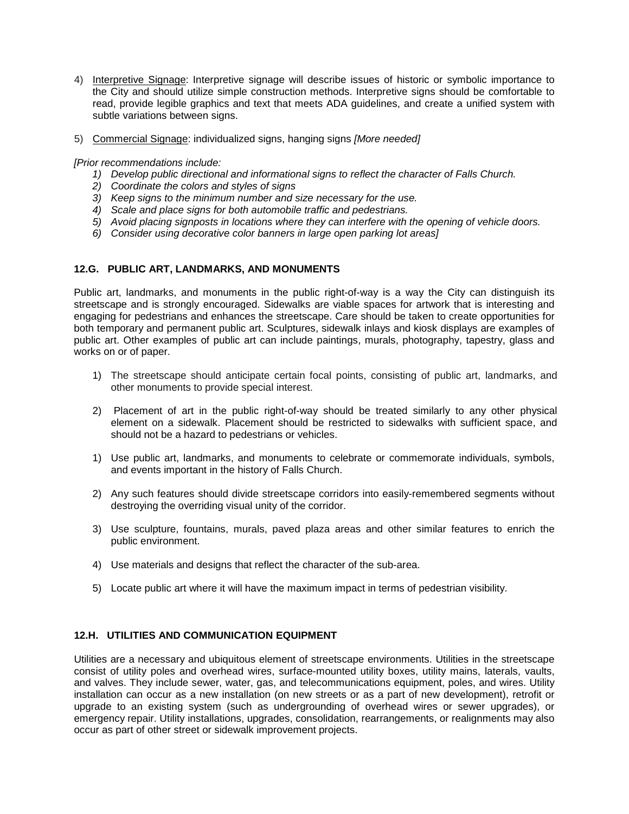- 4) Interpretive Signage: Interpretive signage will describe issues of historic or symbolic importance to the City and should utilize simple construction methods. Interpretive signs should be comfortable to read, provide legible graphics and text that meets ADA guidelines, and create a unified system with subtle variations between signs.
- 5) Commercial Signage: individualized signs, hanging signs *[More needed]*

*[Prior recommendations include:* 

- *1) Develop public directional and informational signs to reflect the character of Falls Church.*
- *2) Coordinate the colors and styles of signs*
- *3) Keep signs to the minimum number and size necessary for the use.*
- *4) Scale and place signs for both automobile traffic and pedestrians.*
- *5) Avoid placing signposts in locations where they can interfere with the opening of vehicle doors.*
- *6) Consider using decorative color banners in large open parking lot areas]*

## **12.G. PUBLIC ART, LANDMARKS, AND MONUMENTS**

Public art, landmarks, and monuments in the public right-of-way is a way the City can distinguish its streetscape and is strongly encouraged. Sidewalks are viable spaces for artwork that is interesting and engaging for pedestrians and enhances the streetscape. Care should be taken to create opportunities for both temporary and permanent public art. Sculptures, sidewalk inlays and kiosk displays are examples of public art. Other examples of public art can include paintings, murals, photography, tapestry, glass and works on or of paper.

- 1) The streetscape should anticipate certain focal points, consisting of public art, landmarks, and other monuments to provide special interest.
- 2) Placement of art in the public right-of-way should be treated similarly to any other physical element on a sidewalk. Placement should be restricted to sidewalks with sufficient space, and should not be a hazard to pedestrians or vehicles.
- 1) Use public art, landmarks, and monuments to celebrate or commemorate individuals, symbols, and events important in the history of Falls Church.
- 2) Any such features should divide streetscape corridors into easily-remembered segments without destroying the overriding visual unity of the corridor.
- 3) Use sculpture, fountains, murals, paved plaza areas and other similar features to enrich the public environment.
- 4) Use materials and designs that reflect the character of the sub-area.
- 5) Locate public art where it will have the maximum impact in terms of pedestrian visibility.

# **12.H. UTILITIES AND COMMUNICATION EQUIPMENT**

Utilities are a necessary and ubiquitous element of streetscape environments. Utilities in the streetscape consist of utility poles and overhead wires, surface-mounted utility boxes, utility mains, laterals, vaults, and valves. They include sewer, water, gas, and telecommunications equipment, poles, and wires. Utility installation can occur as a new installation (on new streets or as a part of new development), retrofit or upgrade to an existing system (such as undergrounding of overhead wires or sewer upgrades), or emergency repair. Utility installations, upgrades, consolidation, rearrangements, or realignments may also occur as part of other street or sidewalk improvement projects.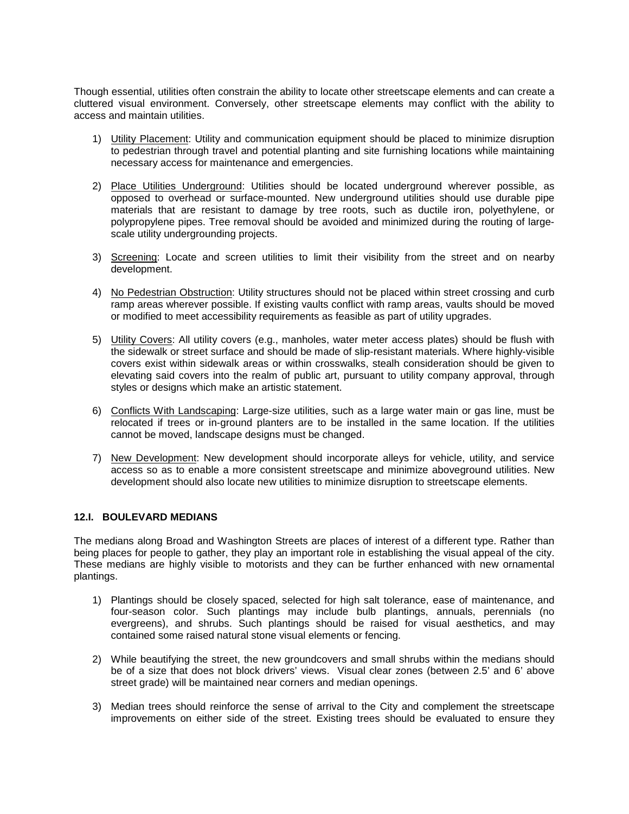Though essential, utilities often constrain the ability to locate other streetscape elements and can create a cluttered visual environment. Conversely, other streetscape elements may conflict with the ability to access and maintain utilities.

- 1) Utility Placement: Utility and communication equipment should be placed to minimize disruption to pedestrian through travel and potential planting and site furnishing locations while maintaining necessary access for maintenance and emergencies.
- 2) Place Utilities Underground: Utilities should be located underground wherever possible, as opposed to overhead or surface-mounted. New underground utilities should use durable pipe materials that are resistant to damage by tree roots, such as ductile iron, polyethylene, or polypropylene pipes. Tree removal should be avoided and minimized during the routing of largescale utility undergrounding projects.
- 3) Screening: Locate and screen utilities to limit their visibility from the street and on nearby development.
- 4) No Pedestrian Obstruction: Utility structures should not be placed within street crossing and curb ramp areas wherever possible. If existing vaults conflict with ramp areas, vaults should be moved or modified to meet accessibility requirements as feasible as part of utility upgrades.
- 5) Utility Covers: All utility covers (e.g., manholes, water meter access plates) should be flush with the sidewalk or street surface and should be made of slip-resistant materials. Where highly-visible covers exist within sidewalk areas or within crosswalks, stealh consideration should be given to elevating said covers into the realm of public art, pursuant to utility company approval, through styles or designs which make an artistic statement.
- 6) Conflicts With Landscaping: Large-size utilities, such as a large water main or gas line, must be relocated if trees or in-ground planters are to be installed in the same location. If the utilities cannot be moved, landscape designs must be changed.
- 7) New Development: New development should incorporate alleys for vehicle, utility, and service access so as to enable a more consistent streetscape and minimize aboveground utilities. New development should also locate new utilities to minimize disruption to streetscape elements.

### **12.I. BOULEVARD MEDIANS**

The medians along Broad and Washington Streets are places of interest of a different type. Rather than being places for people to gather, they play an important role in establishing the visual appeal of the city. These medians are highly visible to motorists and they can be further enhanced with new ornamental plantings.

- 1) Plantings should be closely spaced, selected for high salt tolerance, ease of maintenance, and four-season color. Such plantings may include bulb plantings, annuals, perennials (no evergreens), and shrubs. Such plantings should be raised for visual aesthetics, and may contained some raised natural stone visual elements or fencing.
- 2) While beautifying the street, the new groundcovers and small shrubs within the medians should be of a size that does not block drivers' views. Visual clear zones (between 2.5' and 6' above street grade) will be maintained near corners and median openings.
- 3) Median trees should reinforce the sense of arrival to the City and complement the streetscape improvements on either side of the street. Existing trees should be evaluated to ensure they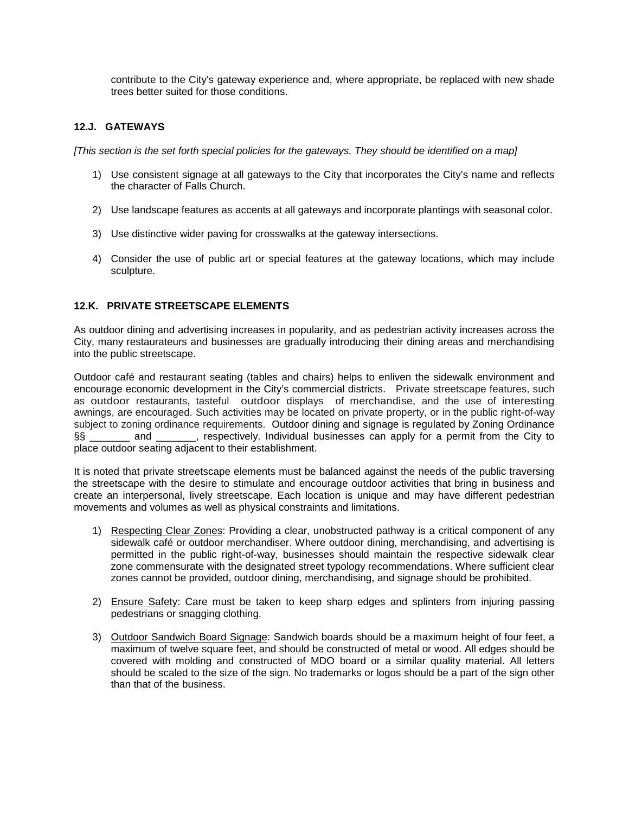contribute to the City's gateway experience and, where appropriate, be replaced with new shade trees better suited for those conditions.

# **12.J. GATEWAYS**

*[This section is the set forth special policies for the gateways. They should be identified on a map]*

- 1) Use consistent signage at all gateways to the City that incorporates the City's name and reflects the character of Falls Church.
- 2) Use landscape features as accents at all gateways and incorporate plantings with seasonal color.
- 3) Use distinctive wider paving for crosswalks at the gateway intersections.
- 4) Consider the use of public art or special features at the gateway locations, which may include sculpture.

## **12.K. PRIVATE STREETSCAPE ELEMENTS**

As outdoor dining and advertising increases in popularity, and as pedestrian activity increases across the City, many restaurateurs and businesses are gradually introducing their dining areas and merchandising into the public streetscape.

Outdoor café and restaurant seating (tables and chairs) helps to enliven the sidewalk environment and encourage economic development in the City's commercial districts. Private streetscape features, such as outdoor restaurants, tasteful outdoor displays of merchandise, and the use of interesting awnings, are encouraged. Such activities may be located on private property, or in the public right-of-way subject to zoning ordinance requirements. Outdoor dining and signage is regulated by Zoning Ordinance §§ \_\_\_\_\_\_\_ and \_\_\_\_\_\_\_, respectively. Individual businesses can apply for a permit from the City to place outdoor seating adjacent to their establishment.

It is noted that private streetscape elements must be balanced against the needs of the public traversing the streetscape with the desire to stimulate and encourage outdoor activities that bring in business and create an interpersonal, lively streetscape. Each location is unique and may have different pedestrian movements and volumes as well as physical constraints and limitations.

- 1) Respecting Clear Zones: Providing a clear, unobstructed pathway is a critical component of any sidewalk café or outdoor merchandiser. Where outdoor dining, merchandising, and advertising is permitted in the public right-of-way, businesses should maintain the respective sidewalk clear zone commensurate with the designated street typology recommendations. Where sufficient clear zones cannot be provided, outdoor dining, merchandising, and signage should be prohibited.
- 2) Ensure Safety: Care must be taken to keep sharp edges and splinters from injuring passing pedestrians or snagging clothing.
- 3) Outdoor Sandwich Board Signage: Sandwich boards should be a maximum height of four feet, a maximum of twelve square feet, and should be constructed of metal or wood. All edges should be covered with molding and constructed of MDO board or a similar quality material. All letters should be scaled to the size of the sign. No trademarks or logos should be a part of the sign other than that of the business.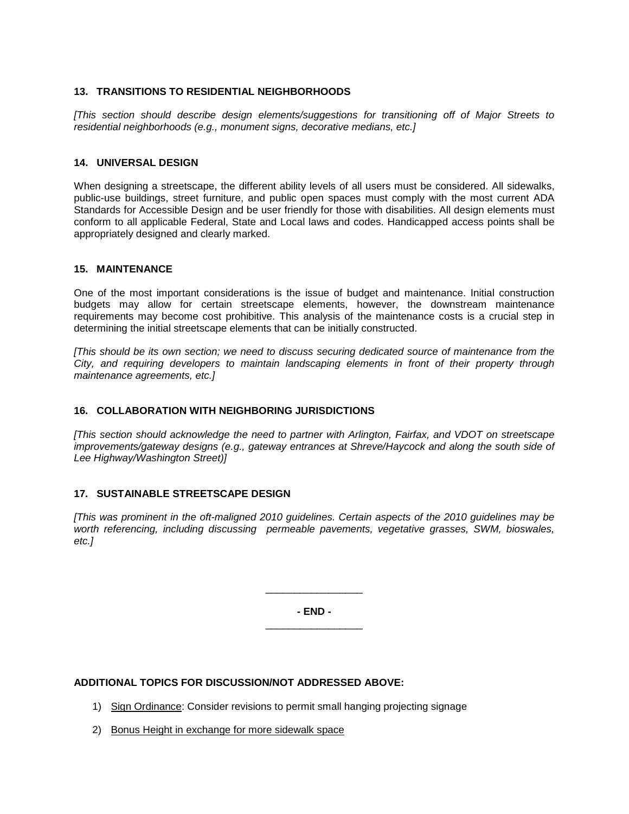### **13. TRANSITIONS TO RESIDENTIAL NEIGHBORHOODS**

*[This section should describe design elements/suggestions for transitioning off of Major Streets to residential neighborhoods (e.g., monument signs, decorative medians, etc.]*

### **14. UNIVERSAL DESIGN**

When designing a streetscape, the different ability levels of all users must be considered. All sidewalks, public-use buildings, street furniture, and public open spaces must comply with the most current ADA Standards for Accessible Design and be user friendly for those with disabilities. All design elements must conform to all applicable Federal, State and Local laws and codes. Handicapped access points shall be appropriately designed and clearly marked.

### **15. MAINTENANCE**

One of the most important considerations is the issue of budget and maintenance. Initial construction budgets may allow for certain streetscape elements, however, the downstream maintenance requirements may become cost prohibitive. This analysis of the maintenance costs is a crucial step in determining the initial streetscape elements that can be initially constructed.

*[This should be its own section; we need to discuss securing dedicated source of maintenance from the City, and requiring developers to maintain landscaping elements in front of their property through maintenance agreements, etc.]*

### **16. COLLABORATION WITH NEIGHBORING JURISDICTIONS**

*[This section should acknowledge the need to partner with Arlington, Fairfax, and VDOT on streetscape improvements/gateway designs (e.g., gateway entrances at Shreve/Haycock and along the south side of Lee Highway/Washington Street)]*

### **17. SUSTAINABLE STREETSCAPE DESIGN**

*[This was prominent in the oft-maligned 2010 guidelines. Certain aspects of the 2010 guidelines may be worth referencing, including discussing permeable pavements, vegetative grasses, SWM, bioswales, etc.]*

> **- END -** \_\_\_\_\_\_\_\_\_\_\_\_\_\_\_\_\_

> \_\_\_\_\_\_\_\_\_\_\_\_\_\_\_\_\_

### **ADDITIONAL TOPICS FOR DISCUSSION/NOT ADDRESSED ABOVE:**

- 1) Sign Ordinance: Consider revisions to permit small hanging projecting signage
- 2) Bonus Height in exchange for more sidewalk space